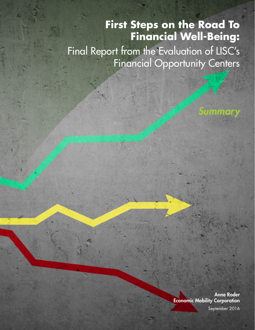# **First Steps on the Road To Financial Well-Being:**

Final Report from the Evaluation of LISC's Financial Opportunity Centers

> Anne Roder Economic Mobility Corporation September 2016

*Summary*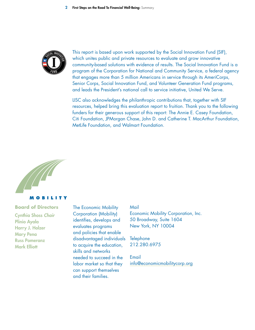

This report is based upon work supported by the Social Innovation Fund (SIF), which unites public and private resources to evaluate and grow innovative community-based solutions with evidence of results. The Social Innovation Fund is a program of the Corporation for National and Community Service, a federal agency that engages more than 5 million Americans in service through its AmeriCorps, Senior Corps, Social Innovation Fund, and Volunteer Generation Fund programs, and leads the President's national call to service initiative, United We Serve.

LISC also acknowledges the philanthropic contributions that, together with SIF resources, helped bring this evaluation report to fruition. Thank you to the following funders for their generous support of this report: The Annie E. Casey Foundation, Citi Foundation, JPMorgan Chase, John D. and Catherine T. MacArthur Foundation, MetLife Foundation, and Walmart Foundation.





#### **Board of Directors**

Cynthia Shoss *Chair* Plinio Ayala Harry J. Holzer Mary Pena Russ Pomeranz Mark Elliott

The Economic Mobility Corporation (Mobility) identifies, develops and evaluates programs and policies that enable disadvantaged individuals to acquire the education, skills and networks needed to succeed in the labor market so that they can support themselves and their families.

#### Mail

Economic Mobility Corporation, Inc. 50 Broadway, Suite 1604 New York, NY 10004

**Telephone** 212.280.6975

Email [info@economicmobilitycorp.org](mailto:info%40economicmobilitycorp.org?subject=)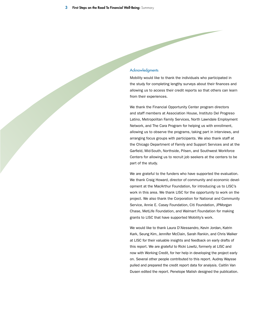#### **Acknowledgments**

Mobility would like to thank the individuals who participated in the study for completing lengthy surveys about their finances and allowing us to access their credit reports so that others can learn from their experiences.

We thank the Financial Opportunity Center program directors and staff members at Association House, Instituto Del Progreso Latino, Metropolitan Family Services, North Lawndale Employment Network, and The Cara Program for helping us with enrollment, allowing us to observe the programs, taking part in interviews, and arranging focus groups with participants. We also thank staff at the Chicago Department of Family and Support Services and at the Garfield, Mid-South, Northside, Pilsen, and Southwest Workforce Centers for allowing us to recruit job seekers at the centers to be part of the study.

We are grateful to the funders who have supported the evaluation. We thank Craig Howard, director of community and economic development at the MacArthur Foundation, for introducing us to LISC's work in this area. We thank LISC for the opportunity to work on the project. We also thank the Corporation for National and Community Service, Annie E. Casey Foundation, Citi Foundation, JPMorgan Chase, MetLife Foundation, and Walmart Foundation for making grants to LISC that have supported Mobility's work.

We would like to thank Laura D'Alessandro, Kevin Jordan, Katrin Kark, Seung Kim, Jennifer McClain, Sarah Rankin, and Chris Walker at LISC for their valuable insights and feedback on early drafts of this report. We are grateful to Ricki Lowitz, formerly at LISC and now with Working Credit, for her help in developing the project early on. Several other people contributed to this report. Audrey Waysse pulled and prepared the credit report data for analysis. Caitlin Van Dusen edited the report. Penelope Malish designed the publication.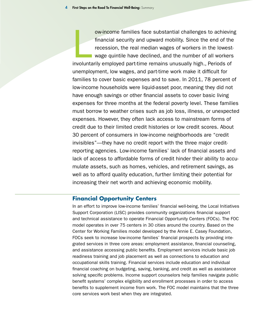ow-income families face substantial challenges to achievin<br>financial security and upward mobility. Since the end of the<br>recession, the real median wages of workers in the lowest-<br>wage quintile have declined, and the number ow-income families face substantial challenges to achieving financial security and upward mobility. Since the end of the recession, the real median wages of workers in the lowestwage quintile have declined, and the number of all workers unemployment, low wages, and part-time work make it difficult for families to cover basic expenses and to save. In 2011, 78 percent of low-income households were liquid-asset poor, meaning they did not have enough savings or other financial assets to cover basic living expenses for three months at the federal poverty level. These families must borrow to weather crises such as job loss, illness, or unexpected expenses. However, they often lack access to mainstream forms of credit due to their limited credit histories or low credit scores. About 30 percent of consumers in low-income neighborhoods are "credit invisibles"—they have no credit report with the three major creditreporting agencies. Low-income families' lack of financial assets and lack of access to affordable forms of credit hinder their ability to accumulate assets, such as homes, vehicles, and retirement savings, as well as to afford quality education, further limiting their potential for increasing their net worth and achieving economic mobility.

#### **Financial Opportunity Centers**

In an effort to improve low-income families' financial well-being, the Local Initiatives Support Corporation (LISC) provides community organizations financial support and technical assistance to operate Financial Opportunity Centers (FOCs). The FOC model operates in over 75 centers in 30 cities around the country. Based on the Center for Working Families model developed by the Annie E. Casey Foundation, FOCs seek to increase low-income families' financial prospects by providing integrated services in three core areas: employment assistance, financial counseling, and assistance accessing public benefits. Employment services include basic job readiness training and job placement as well as connections to education and occupational skills training. Financial services include education and individual financial coaching on budgeting, saving, banking, and credit as well as assistance solving specific problems. Income support counselors help families navigate public benefit systems' complex eligibility and enrollment processes in order to access benefits to supplement income from work. The FOC model maintains that the three core services work best when they are integrated.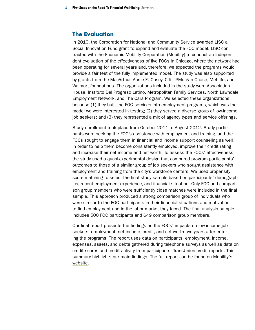#### **The Evaluation**

In 2010, the Corporation for National and Community Service awarded LISC a Social Innovation Fund grant to expand and evaluate the FOC model. LISC contracted with the Economic Mobility Corporation (Mobility) to conduct an independent evaluation of the effectiveness of five FOCs in Chicago, where the network had been operating for several years and, therefore, we expected the programs would provide a fair test of the fully implemented model. The study was also supported by grants from the MacArthur, Annie E. Casey, Citi, JPMorgan Chase, MetLife, and Walmart foundations. The organizations included in the study were Association House, Instituto Del Progreso Latino, Metropolitan Family Services, North Lawndale Employment Network, and The Cara Program. We selected these organizations because (1) they built the FOC services into employment programs, which was the model we were interested in testing; (2) they served a diverse group of low-income job seekers; and (3) they represented a mix of agency types and service offerings.

Study enrollment took place from October 2011 to August 2012. Study participants were seeking the FOC's assistance with employment and training, and the FOCs sought to engage them in financial and income support counseling as well in order to help them become consistently employed, improve their credit rating, and increase their net income and net worth. To assess the FOCs' effectiveness, the study used a quasi-experimental design that compared program participants' outcomes to those of a similar group of job seekers who sought assistance with employment and training from the city's workforce centers. We used propensity score matching to select the final study sample based on participants' demographics, recent employment experience, and financial situation. Only FOC and comparison group members who were sufficiently close matches were included in the final sample. This approach produced a strong comparison group of individuals who were similar to the FOC participants in their financial situations and motivation to find employment and in the labor market they faced. The final analysis sample includes 500 FOC participants and 649 comparison group members.

Our final report presents the findings on the FOCs' impacts on low-income job seekers' employment, net income, credit, and net worth two years after entering the programs. The report uses data on participants' employment, income, expenses, assets, and debts gathered during telephone surveys as well as data on credit scores and credit activity from participants' TransUnion credit reports. This summary highlights our main findings. The full report can be found on [Mobility's](http://economicmobilitycorp.org)  [website.](http://economicmobilitycorp.org)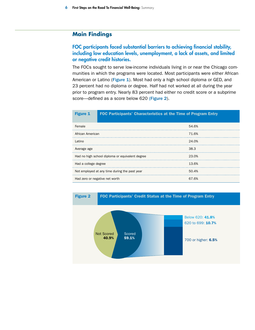## **Main Findings**

#### FOC participants faced substantial barriers to achieving financial stability, including low education levels, unemployment, a lack of assets, and limited or negative credit histories.

The FOCs sought to serve low-income individuals living in or near the Chicago communities in which the programs were located. Most participants were either African American or Latino (Figure 1). Most had only a high school diploma or GED, and 23 percent had no diploma or degree. Half had not worked at all during the year prior to program entry. Nearly 83 percent had either no credit score or a subprime score—defined as a score below 620 (Figure 2).

| <b>Figure 1</b>                                 | FOC Participants' Characteristics at the Time of Program Entry |       |
|-------------------------------------------------|----------------------------------------------------------------|-------|
| Female                                          |                                                                | 54.6% |
| African American                                |                                                                | 71.6% |
| Latino                                          |                                                                | 24.0% |
| Average age                                     |                                                                | 38.3  |
| Had no high school diploma or equivalent degree |                                                                | 23.0% |
| Had a college degree                            |                                                                | 13.6% |
| Not employed at any time during the past year   |                                                                | 50.4% |
| Had zero or negative net worth                  |                                                                | 67.6% |

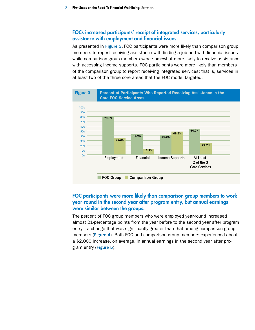#### FOCs increased participants' receipt of integrated services, particularly assistance with employment and financial issues.

As presented in Figure 3, FOC participants were more likely than comparison group members to report receiving assistance with finding a job and with financial issues while comparison group members were somewhat more likely to receive assistance with accessing income supports. FOC participants were more likely than members of the comparison group to report receiving integrated services; that is, services in at least two of the three core areas that the FOC model targeted.



#### FOC participants were more likely than comparison group members to work year-round in the second year after program entry, but annual earnings were similar between the groups.

The percent of FOC group members who were employed year-round increased almost 21-percentage points from the year before to the second year after program entry—a change that was significantly greater than that among comparison group members (Figure 4). Both FOC and comparison group members experienced about a \$2,000 increase, on average, in annual earnings in the second year after program entry (Figure 5).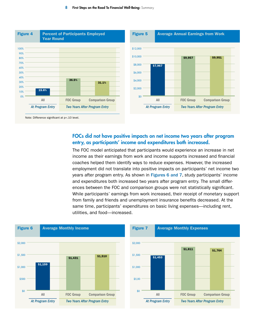

Note: Difference significant at p<. 10 level.

#### FOCs did not have positive impacts on net income two years after program entry, as participants' income and expenditures both increased.

The FOC model anticipated that participants would experience an increase in net income as their earnings from work and income supports increased and financial coaches helped them identify ways to reduce expenses. However, the increased employment did not translate into positive impacts on participants' net income two years after program entry. As shown in Figures 6 and 7, study participants' income and expenditures both increased two years after program entry. The small differences between the FOC and comparison groups were not statistically significant. While participants' earnings from work increased, their receipt of monetary support from family and friends and unemployment insurance benefits decreased. At the same time, participants' expenditures on basic living expenses—including rent, utilities, and food—increased.



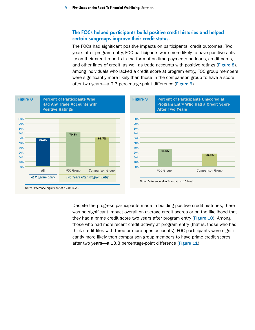#### The FOCs helped participants build positive credit histories and helped certain subgroups improve their credit status.

The FOCs had significant positive impacts on participants' credit outcomes. Two years after program entry, FOC participants were more likely to have positive activity on their credit reports in the form of on-time payments on loans, credit cards, and other lines of credit, as well as trade accounts with positive ratings (Figure 8). Among individuals who lacked a credit score at program entry, FOC group members were significantly more likely than those in the comparison group to have a score after two years—a 9.3 percentage-point difference (Figure 9).



Despite the progress participants made in building positive credit histories, there was no significant impact overall on average credit scores or on the likelihood that they had a prime credit score two years after program entry (Figure 10). Among those who had more-recent credit activity at program entry (that is, those who had thick credit files with three or more open accounts), FOC participants were significantly more likely than comparison group members to have prime credit scores after two years—a 13.8 percentage-point difference (Figure 11)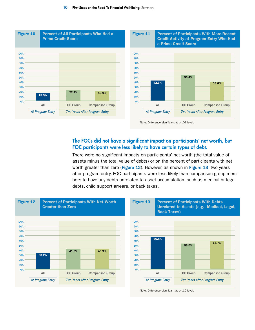

#### The FOCs did not have a significant impact on participants' net worth, but FOC participants were less likely to have certain types of debt.

There were no significant impacts on participants' net worth (the total value of assets minus the total value of debts) or on the percent of participants with net worth greater than zero (Figure 12). However, as shown in Figure 13, two years after program entry, FOC participants were less likely than comparison group members to have any debts unrelated to asset accumulation, such as medical or legal debts, child support arrears, or back taxes.



Note: Difference significant at p<.10 level.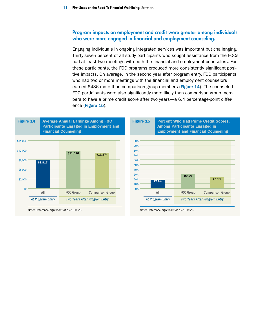#### Program impacts on employment and credit were greater among individuals who were more engaged in financial and employment counseling.

Engaging individuals in ongoing integrated services was important but challenging. Thirty-seven percent of all study participants who sought assistance from the FOCs had at least two meetings with both the financial and employment counselors. For these participants, the FOC programs produced more consistently significant positive impacts. On average, in the second year after program entry, FOC participants who had two or more meetings with the financial and employment counselors earned \$436 more than comparison group members (Figure 14). The counseled FOC participants were also significantly more likely than comparison group members to have a prime credit score after two years—a 6.4 percentage-point difference (Figure 15).



Note: Difference significant at p<. 10 level.

Note: Difference significant at p<. 10 level.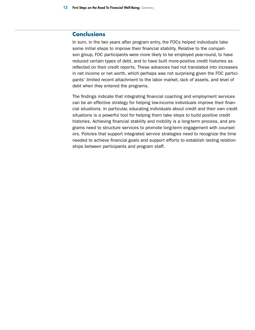## **Conclusions**

In sum, in the two years after program entry, the FOCs helped individuals take some initial steps to improve their financial stability. Relative to the comparison group, FOC participants were more likely to be employed year-round, to have reduced certain types of debt, and to have built more-positive credit histories as reflected on their credit reports. These advances had not translated into increases in net income or net worth, which perhaps was not surprising given the FOC participants' limited recent attachment to the labor market, lack of assets, and level of debt when they entered the programs.

The findings indicate that integrating financial coaching and employment services can be an effective strategy for helping low-income individuals improve their financial situations. In particular, educating individuals about credit and their own credit situations is a powerful tool for helping them take steps to build positive credit histories. Achieving financial stability and mobility is a long-term process, and programs need to structure services to promote long-term engagement with counselors. Policies that support integrated service strategies need to recognize the time needed to achieve financial goals and support efforts to establish lasting relationships between participants and program staff.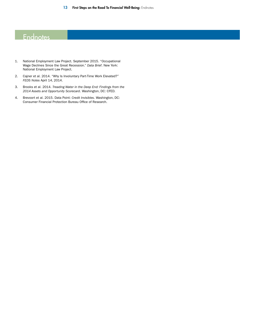# **Endnotes**

- 1. National Employment Law Project. September 2015. "Occupational Wage Declines Since the Great Recession." *Data Brief*. New York: National Employment Law Project.
- 2. Cajner et al. 2014. "Why Is Involuntary Part-Time Work Elevated?" *FEDS Notes* April 14, 2014.
- 3. Brooks et al. 2014. *Treading Water in the Deep End: Findings from the 2014 Assets and Opportunity Scorecard*. Washington, DC: CFED.
- 4. Brevoort et al. 2015. Data Point: *Credit Invisibles*. Washington, DC: Consumer Financial Protection Bureau Office of Research.